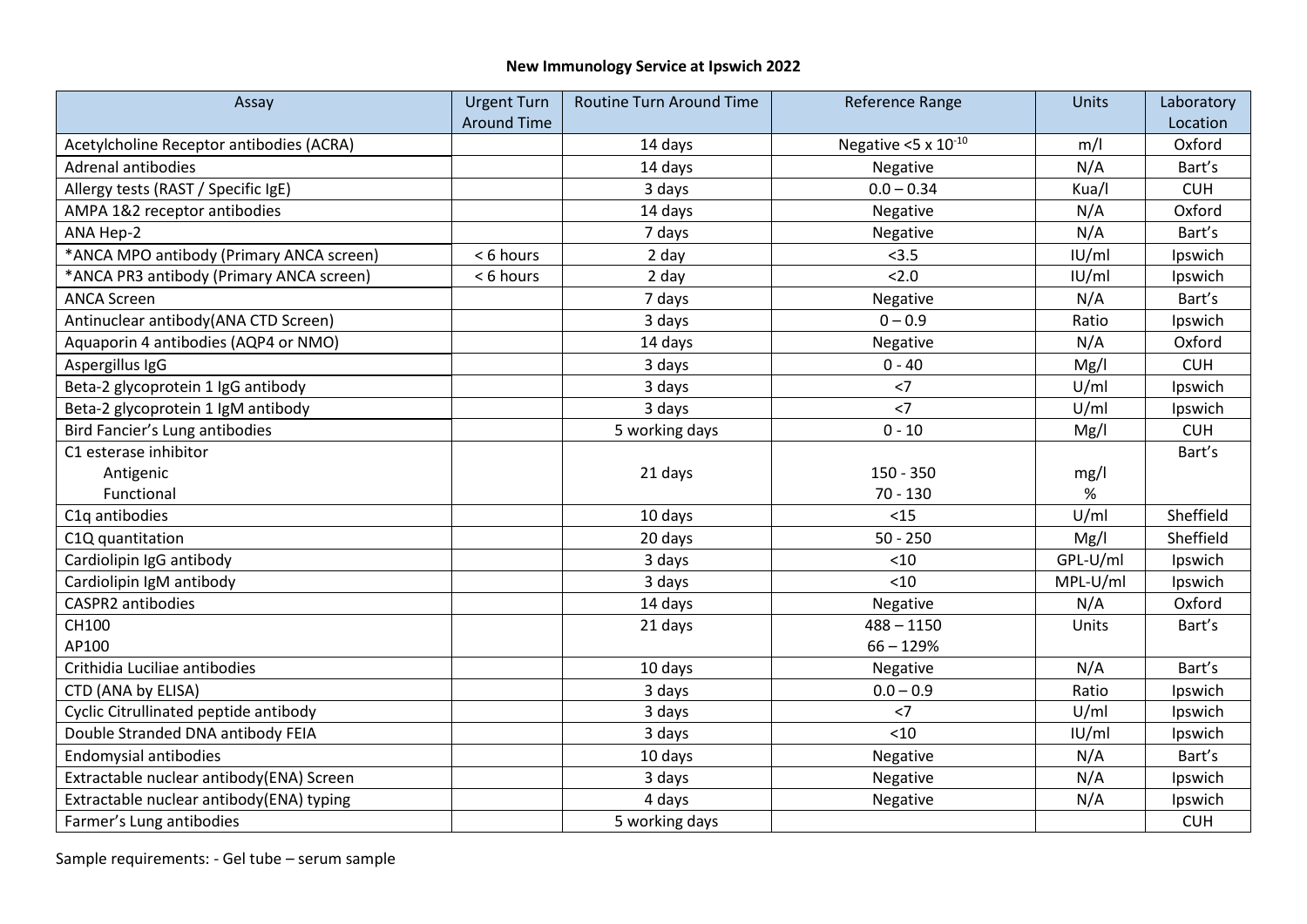## **New Immunology Service at Ipswich 2022**

| Assay                                    | <b>Urgent Turn</b> | <b>Routine Turn Around Time</b> | Reference Range                    | <b>Units</b> | Laboratory |
|------------------------------------------|--------------------|---------------------------------|------------------------------------|--------------|------------|
|                                          | <b>Around Time</b> |                                 |                                    |              | Location   |
| Acetylcholine Receptor antibodies (ACRA) |                    | 14 days                         | Negative $<$ 5 x 10 <sup>-10</sup> | m/l          | Oxford     |
| <b>Adrenal antibodies</b>                |                    | 14 days                         | Negative                           | N/A          | Bart's     |
| Allergy tests (RAST / Specific IgE)      |                    | 3 days                          | $0.0 - 0.34$                       | Kua/I        | <b>CUH</b> |
| AMPA 1&2 receptor antibodies             |                    | 14 days                         | Negative                           | N/A          | Oxford     |
| ANA Hep-2                                |                    | 7 days                          | Negative                           | N/A          | Bart's     |
| *ANCA MPO antibody (Primary ANCA screen) | < 6 hours          | 2 day                           | < 3.5                              | IU/ml        | Ipswich    |
| *ANCA PR3 antibody (Primary ANCA screen) | < 6 hours          | 2 day                           | 2.0                                | IU/ml        | Ipswich    |
| <b>ANCA Screen</b>                       |                    | 7 days                          | Negative                           | N/A          | Bart's     |
| Antinuclear antibody(ANA CTD Screen)     |                    | 3 days                          | $0 - 0.9$                          | Ratio        | Ipswich    |
| Aquaporin 4 antibodies (AQP4 or NMO)     |                    | 14 days                         | Negative                           | N/A          | Oxford     |
| Aspergillus IgG                          |                    | 3 days                          | $0 - 40$                           | Mg/l         | <b>CUH</b> |
| Beta-2 glycoprotein 1 IgG antibody       |                    | 3 days                          | $<$ 7                              | U/ml         | Ipswich    |
| Beta-2 glycoprotein 1 IgM antibody       |                    | 3 days                          | $<$ 7                              | U/ml         | Ipswich    |
| Bird Fancier's Lung antibodies           |                    | 5 working days                  | $0 - 10$                           | Mg/l         | <b>CUH</b> |
| C1 esterase inhibitor                    |                    |                                 |                                    |              | Bart's     |
| Antigenic                                |                    | 21 days                         | 150 - 350                          | mg/l         |            |
| Functional                               |                    |                                 | $70 - 130$                         | $\%$         |            |
| C1q antibodies                           |                    | 10 days                         | < 15                               | U/ml         | Sheffield  |
| C1Q quantitation                         |                    | 20 days                         | $50 - 250$                         | Mg/l         | Sheffield  |
| Cardiolipin IgG antibody                 |                    | 3 days                          | < 10                               | GPL-U/ml     | Ipswich    |
| Cardiolipin IgM antibody                 |                    | 3 days                          | < 10                               | MPL-U/ml     | Ipswich    |
| CASPR2 antibodies                        |                    | 14 days                         | Negative                           | N/A          | Oxford     |
| CH100                                    |                    | 21 days                         | $488 - 1150$                       | Units        | Bart's     |
| AP100                                    |                    |                                 | $66 - 129%$                        |              |            |
| Crithidia Luciliae antibodies            |                    | 10 days                         | Negative                           | N/A          | Bart's     |
| CTD (ANA by ELISA)                       |                    | 3 days                          | $0.0 - 0.9$                        | Ratio        | Ipswich    |
| Cyclic Citrullinated peptide antibody    |                    | 3 days                          | $<$ 7                              | U/ml         | Ipswich    |
| Double Stranded DNA antibody FEIA        |                    | 3 days                          | < 10                               | IU/ml        | Ipswich    |
| <b>Endomysial antibodies</b>             |                    | 10 days                         | Negative                           | N/A          | Bart's     |
| Extractable nuclear antibody(ENA) Screen |                    | 3 days                          | Negative                           | N/A          | Ipswich    |
| Extractable nuclear antibody(ENA) typing |                    | 4 days                          | Negative                           | N/A          | Ipswich    |
| Farmer's Lung antibodies                 |                    | 5 working days                  |                                    |              | <b>CUH</b> |

Sample requirements: - Gel tube – serum sample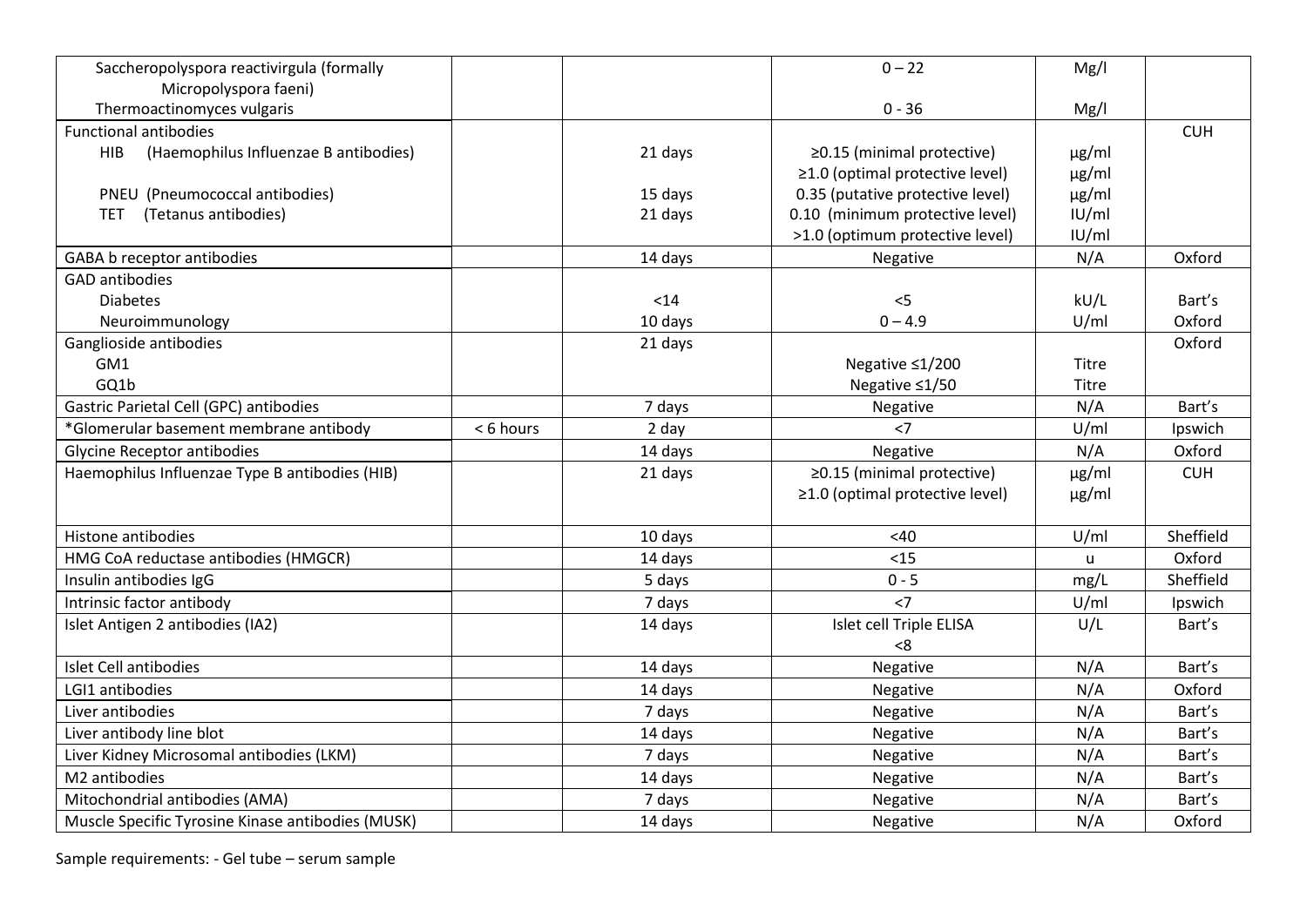| Saccheropolyspora reactivirgula (formally         |           |         | $0 - 22$                              | Mg/l         |            |
|---------------------------------------------------|-----------|---------|---------------------------------------|--------------|------------|
| Micropolyspora faeni)                             |           |         |                                       |              |            |
| Thermoactinomyces vulgaris                        |           |         | $0 - 36$                              | Mg/l         |            |
| <b>Functional antibodies</b>                      |           |         |                                       |              | <b>CUH</b> |
| (Haemophilus Influenzae B antibodies)<br>HIB.     |           | 21 days | $\geq$ 0.15 (minimal protective)      | $\mu$ g/ml   |            |
|                                                   |           |         | $\geq$ 1.0 (optimal protective level) | $\mu$ g/ml   |            |
| PNEU (Pneumococcal antibodies)                    |           | 15 days | 0.35 (putative protective level)      | $\mu$ g/ml   |            |
| (Tetanus antibodies)<br><b>TET</b>                |           | 21 days | 0.10 (minimum protective level)       | U/m          |            |
|                                                   |           |         | >1.0 (optimum protective level)       | IU/ml        |            |
| GABA b receptor antibodies                        |           | 14 days | Negative                              | N/A          | Oxford     |
| <b>GAD antibodies</b>                             |           |         |                                       |              |            |
| <b>Diabetes</b>                                   |           | $14$    | $<$ 5                                 | kU/L         | Bart's     |
| Neuroimmunology                                   |           | 10 days | $0 - 4.9$                             | U/ml         | Oxford     |
| Ganglioside antibodies                            |           | 21 days |                                       |              | Oxford     |
| GM1                                               |           |         | Negative ≤1/200                       | Titre        |            |
| GQ1b                                              |           |         | Negative ≤1/50                        | <b>Titre</b> |            |
| Gastric Parietal Cell (GPC) antibodies            |           | 7 days  | Negative                              | N/A          | Bart's     |
| *Glomerular basement membrane antibody            | < 6 hours | 2 day   | $<$ 7                                 | U/ml         | Ipswich    |
| <b>Glycine Receptor antibodies</b>                |           | 14 days | Negative                              | N/A          | Oxford     |
| Haemophilus Influenzae Type B antibodies (HIB)    |           | 21 days | ≥0.15 (minimal protective)            | µg/ml        | <b>CUH</b> |
|                                                   |           |         | $\geq$ 1.0 (optimal protective level) | $\mu$ g/ml   |            |
|                                                   |           |         |                                       |              |            |
| Histone antibodies                                |           | 10 days | <40                                   | U/ml         | Sheffield  |
| HMG CoA reductase antibodies (HMGCR)              |           | 14 days | < 15                                  | $\mathsf{u}$ | Oxford     |
| Insulin antibodies IgG                            |           | 5 days  | $0 - 5$                               | mg/L         | Sheffield  |
| Intrinsic factor antibody                         |           | 7 days  | $<$ 7                                 | U/ml         | Ipswich    |
| Islet Antigen 2 antibodies (IA2)                  |           | 14 days | Islet cell Triple ELISA               | U/L          | Bart's     |
|                                                   |           |         | < 8                                   |              |            |
| Islet Cell antibodies                             |           | 14 days | Negative                              | N/A          | Bart's     |
| LGI1 antibodies                                   |           | 14 days | Negative                              | N/A          | Oxford     |
| Liver antibodies                                  |           | 7 days  | Negative                              | N/A          | Bart's     |
| Liver antibody line blot                          |           | 14 days | Negative                              | N/A          | Bart's     |
| Liver Kidney Microsomal antibodies (LKM)          |           | 7 days  | Negative                              | N/A          | Bart's     |
| M2 antibodies                                     |           | 14 days | Negative                              | N/A          | Bart's     |
| Mitochondrial antibodies (AMA)                    |           | 7 days  | Negative                              | N/A          | Bart's     |
| Muscle Specific Tyrosine Kinase antibodies (MUSK) |           | 14 days | Negative                              | N/A          | Oxford     |

Sample requirements: - Gel tube – serum sample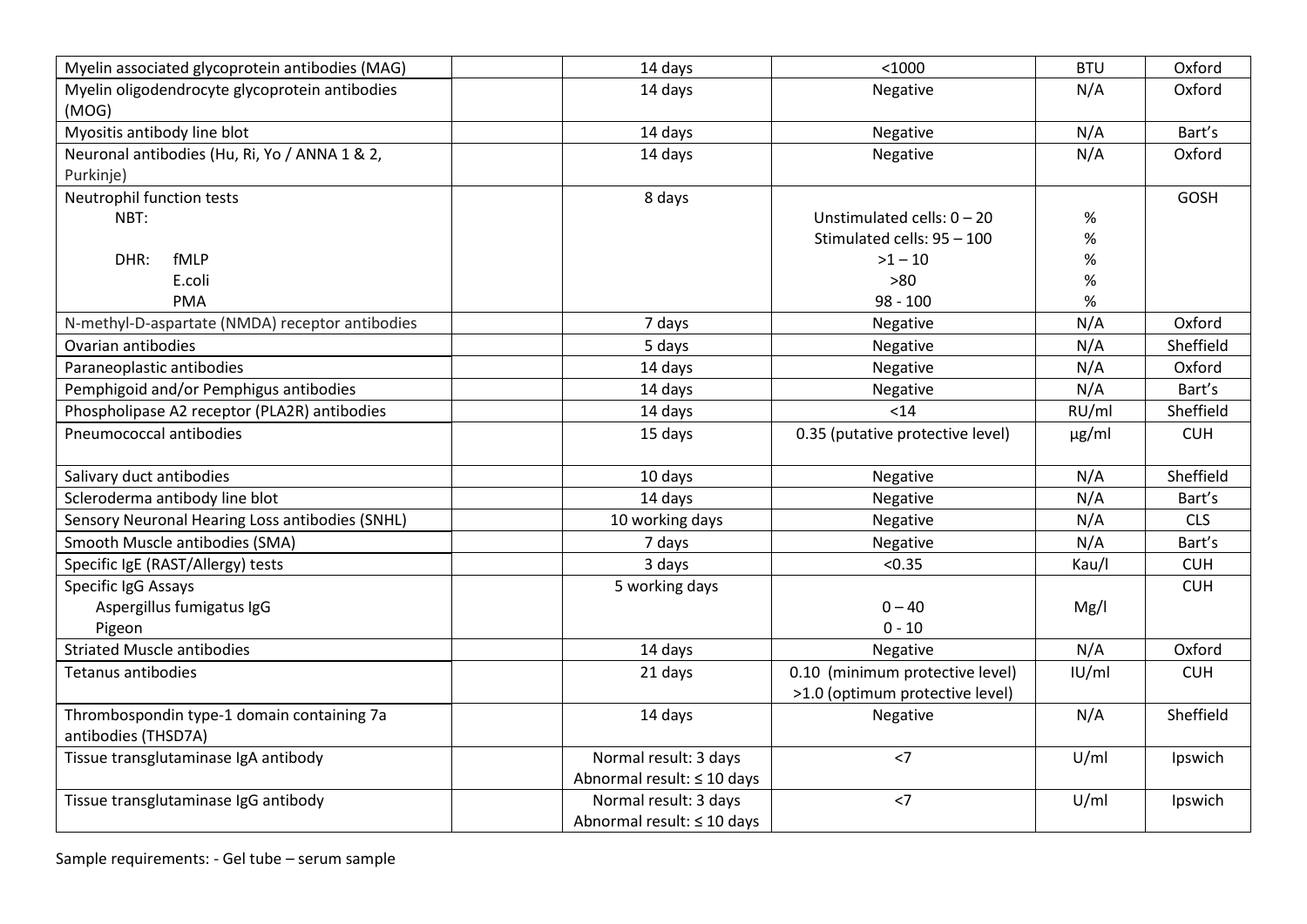| Myelin associated glycoprotein antibodies (MAG)            | 14 days                    | < 1000                                                             | <b>BTU</b> | Oxford      |
|------------------------------------------------------------|----------------------------|--------------------------------------------------------------------|------------|-------------|
| Myelin oligodendrocyte glycoprotein antibodies<br>(MOG)    | 14 days                    | Negative                                                           | N/A        | Oxford      |
| Myositis antibody line blot                                | 14 days                    | Negative                                                           | N/A        | Bart's      |
| Neuronal antibodies (Hu, Ri, Yo / ANNA 1 & 2,<br>Purkinje) | 14 days                    | Negative                                                           | N/A        | Oxford      |
| Neutrophil function tests                                  | 8 days                     |                                                                    |            | <b>GOSH</b> |
| NBT:                                                       |                            | Unstimulated cells: $0 - 20$                                       | $\%$       |             |
|                                                            |                            | Stimulated cells: 95 - 100                                         | $\%$       |             |
| DHR:<br>fMLP                                               |                            | $>1 - 10$                                                          | $\%$       |             |
| E.coli                                                     |                            | >80                                                                | $\%$       |             |
| <b>PMA</b>                                                 |                            | $98 - 100$                                                         | $\%$       |             |
| N-methyl-D-aspartate (NMDA) receptor antibodies            | 7 days                     | Negative                                                           | N/A        | Oxford      |
| Ovarian antibodies                                         | 5 days                     | Negative                                                           | N/A        | Sheffield   |
| Paraneoplastic antibodies                                  | 14 days                    | Negative                                                           | N/A        | Oxford      |
| Pemphigoid and/or Pemphigus antibodies                     | 14 days                    | Negative                                                           | N/A        | Bart's      |
| Phospholipase A2 receptor (PLA2R) antibodies               | 14 days                    | < 14                                                               | RU/ml      | Sheffield   |
| Pneumococcal antibodies                                    | 15 days                    | 0.35 (putative protective level)                                   | $\mu$ g/ml | <b>CUH</b>  |
| Salivary duct antibodies                                   | 10 days                    | Negative                                                           | N/A        | Sheffield   |
| Scleroderma antibody line blot                             | 14 days                    | Negative                                                           | N/A        | Bart's      |
| Sensory Neuronal Hearing Loss antibodies (SNHL)            | 10 working days            | Negative                                                           | N/A        | <b>CLS</b>  |
| Smooth Muscle antibodies (SMA)                             | 7 days                     | Negative                                                           | N/A        | Bart's      |
| Specific IgE (RAST/Allergy) tests                          | 3 days                     | < 0.35                                                             | Kau/l      | <b>CUH</b>  |
| Specific IgG Assays                                        | 5 working days             |                                                                    |            | <b>CUH</b>  |
| Aspergillus fumigatus IgG                                  |                            | $0 - 40$                                                           | Mg/I       |             |
| Pigeon                                                     |                            | $0 - 10$                                                           |            |             |
| <b>Striated Muscle antibodies</b>                          | 14 days                    | Negative                                                           | N/A        | Oxford      |
| <b>Tetanus antibodies</b>                                  | 21 days                    | 0.10 (minimum protective level)<br>>1.0 (optimum protective level) | IU/ml      | <b>CUH</b>  |
| Thrombospondin type-1 domain containing 7a                 | 14 days                    |                                                                    | N/A        | Sheffield   |
| antibodies (THSD7A)                                        |                            | Negative                                                           |            |             |
| Tissue transglutaminase IgA antibody                       | Normal result: 3 days      | $<$ 7                                                              | U/ml       | Ipswich     |
|                                                            | Abnormal result: ≤ 10 days |                                                                    |            |             |
| Tissue transglutaminase IgG antibody                       | Normal result: 3 days      | $<$ 7                                                              | U/ml       | Ipswich     |
|                                                            | Abnormal result: ≤ 10 days |                                                                    |            |             |